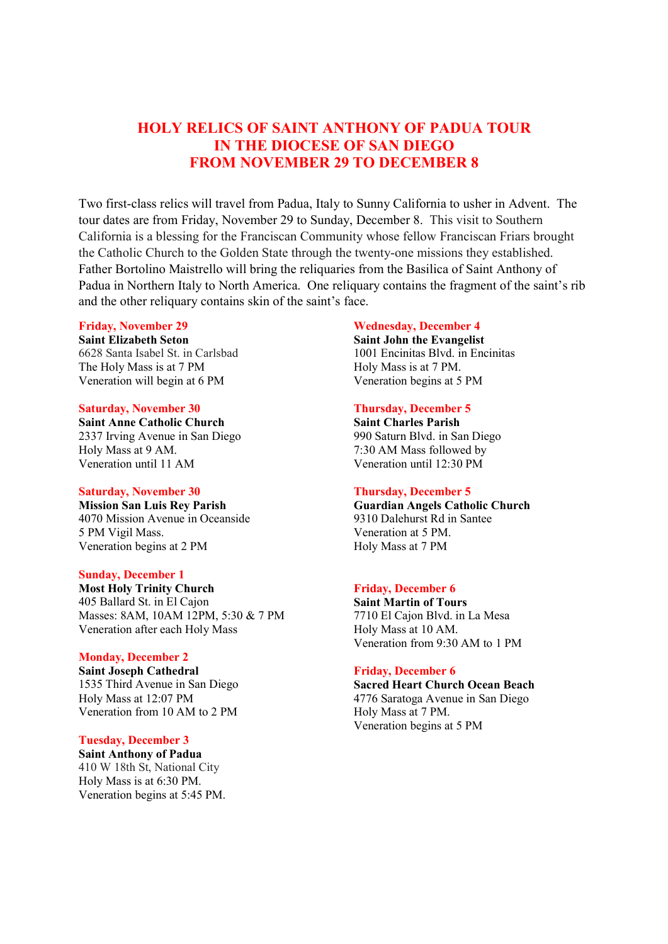# HOLY RELICS OF SAINT ANTHONY OF PADUA TOUR IN THE DIOCESE OF SAN DIEGO FROM NOVEMBER 29 TO DECEMBER 8

Two first-class relics will travel from Padua, Italy to Sunny California to usher in Advent. The tour dates are from Friday, November 29 to Sunday, December 8. This visit to Southern California is a blessing for the Franciscan Community whose fellow Franciscan Friars brought the Catholic Church to the Golden State through the twenty-one missions they established. Father Bortolino Maistrello will bring the reliquaries from the Basilica of Saint Anthony of Padua in Northern Italy to North America. One reliquary contains the fragment of the saint's rib and the other reliquary contains skin of the saint's face.

#### Friday, November 29

Saint Elizabeth Seton 6628 Santa Isabel St. in Carlsbad The Holy Mass is at 7 PM Veneration will begin at 6 PM

#### Saturday, November 30

Saint Anne Catholic Church 2337 Irving Avenue in San Diego Holy Mass at 9 AM. Veneration until 11 AM

#### Saturday, November 30

Mission San Luis Rey Parish 4070 Mission Avenue in Oceanside 5 PM Vigil Mass. Veneration begins at 2 PM

#### Sunday, December 1

Most Holy Trinity Church 405 Ballard St. in El Cajon Masses: 8AM, 10AM 12PM, 5:30 & 7 PM Veneration after each Holy Mass

#### Monday, December 2

Saint Joseph Cathedral 1535 Third Avenue in San Diego Holy Mass at 12:07 PM Veneration from 10 AM to 2 PM

### Tuesday, December 3

Saint Anthony of Padua 410 W 18th St, National City Holy Mass is at 6:30 PM. Veneration begins at 5:45 PM.

#### Wednesday, December 4

Saint John the Evangelist 1001 Encinitas Blvd. in Encinitas Holy Mass is at 7 PM. Veneration begins at 5 PM

### Thursday, December 5

Saint Charles Parish 990 Saturn Blvd. in San Diego 7:30 AM Mass followed by Veneration until 12:30 PM

#### Thursday, December 5

Guardian Angels Catholic Church 9310 Dalehurst Rd in Santee Veneration at 5 PM. Holy Mass at 7 PM

#### Friday, December 6

Saint Martin of Tours 7710 El Cajon Blvd. in La Mesa Holy Mass at 10 AM. Veneration from 9:30 AM to 1 PM

#### Friday, December 6

Sacred Heart Church Ocean Beach 4776 Saratoga Avenue in San Diego Holy Mass at 7 PM. Veneration begins at 5 PM